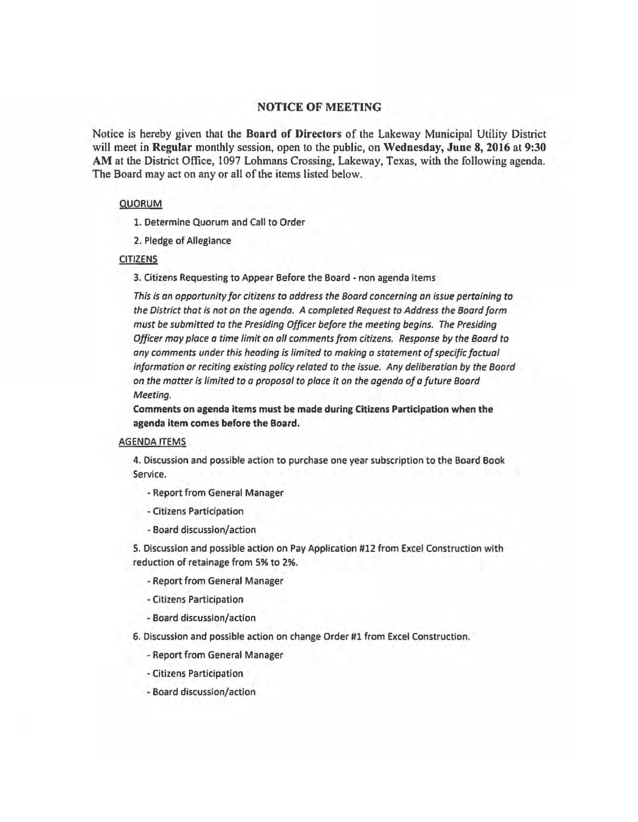## NOTICE OF MEETING

Notice is hereby given that the Board of Directors of the Lakeway Municipal Utility District will meet in Regular monthly session, open to the public, on Wednesday, June 8, 2016 at 9:30 AM at the District Office, 1097 Lohmans Crossing, Lakeway, Texas, with the following agenda. The Board may act on any or all of the items listed below.

## QUORUM

1. Determine Quorum and Call to Order

2. Pledge of Allegiance

## CITIZENS

3. Citizens Requesting to Appear Before the Board -non agenda items

*This is an opportunity for citizens to address the Board concerning an issue pertaining to the District that is not on the agenda. A completed Request to Address the Board form must be submitted* to *the Presiding Officer before the meeting begins. The Presiding Officer may place a time limit on all comments from citizens. Response by the Board to any comments under this heading is limited to making a statement of specific factual information* or *reciting existing policy related to the issue. Any deliberation by the Board on the matter is limited to a proposal to place it on the agenda of a future Board Meeting.* 

Comments on agenda items must be made during Citizens Participation when the agenda Item comes before the Board.

## AGENDA ITEMS

4. Discussion and possible action to purchase one year subscription to the Board Book Service.

- Report from General Manager
- -Citizens Participation
- Board discussion/action

5. Discussion and possible action on Pay Application #12 from Excel Construction with reduction of retainage from 5% to 2%.

- Report from General Manager
- Citizens Participation
- Board discussion/action

6. Discussion and possible action on change Order #1 from Excel Construction.

- Report from General Manager
- Citizens Participation
- -Board discussion/action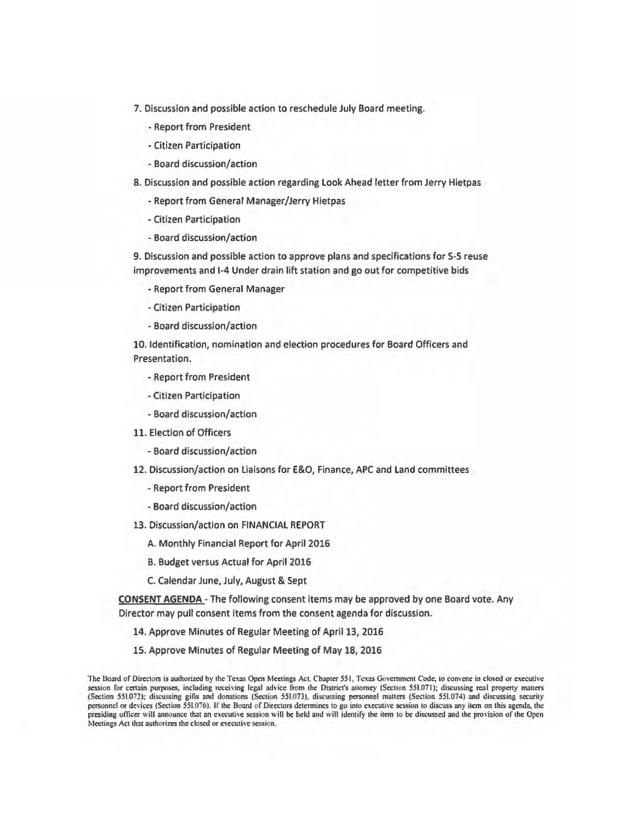- 7. Discussion and possible action to reschedule July Board meeting.
	- Report from President
	- -Citizen Participation
	- Board discussion/action
- 8. Discussion and possible action regarding look Ahead letter from Jerry Hietpas
	- -Report from General Manager/Jerry Hietpas
	- Citizen Participation
	- Board discussion/action

9. Discussion and possible action to approve plans and specifications for S-5 reuse improvements and 1-4 Under drain lift station and go out for competitive bids

- Report from General Manager
- -Citizen Participation
- Board discussion/action

10. Identification, nomination and election procedures for Board Officers and Presentation.

- -Report from President
- -Citizen Participation
- -Board discussion/action
- 11. Election of Officers
	- Board discussion/action
- 12. Discussion/action on Liaisons for E&O, Finance, APC and Land committees
	- Report from President
	- Board discussion/action
- 13. Discussion/action on FINANCIAL REPORT
	- A. Monthly Financial Report for April 2016
	- B. Budget versus Actual for April 2016
	- C. Calendar June, July, August & Sept

CONSENT AGENDA - The following consent items may be approved by one Board vote. Any Director may pull consent items from the consent agenda for discussion.

- 14. Approve Minutes of Regular Meeting of April 13, 2016
- 15. Approve Minutes of Regular Meeting of May 18, 2016

The Board of Directors is authorized by the Texas Open Meetings Act, Chapter 551, Texas Government Code, to convene in closed or executive session for certain purposes, including receiving legal advice from the District's attorney (Section 551.071); discussing real property matters (Section 551.072); discussing gifts and donations (Section 551.073), discussing personnel matters (Section 551.074) and discussing security personnel or devices (Section 551.076). If the Board of Directors determines to go into executive session to discuss any item on this agenda, the presiding officer will announce that an executive session will be held and will identify the item to be discussed and the provision of the Open Meetings Act that authorizes the closed or executive session.